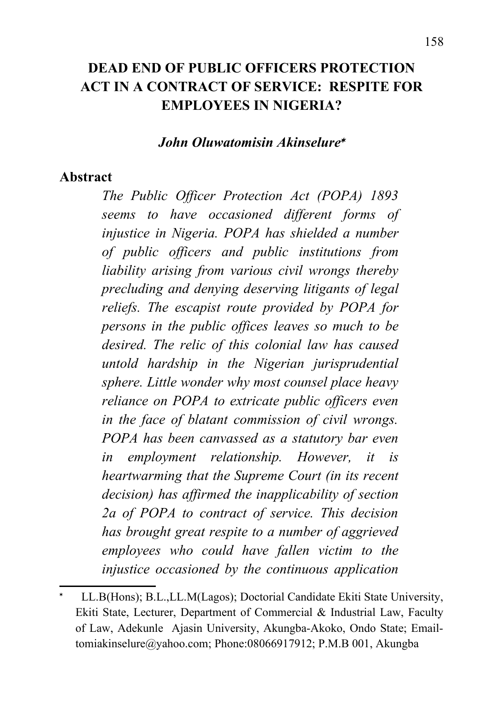## **DEAD END OF PUBLIC OFFICERS PROTECTION ACT IN A CONTRACT OF SERVICE: RESPITE FOR EMPLOYEES IN NIGERIA?**

#### *John Oluwatomisin Akinselure*

#### **Abstract**

*The Public Officer Protection Act (POPA) 1893 seems to have occasioned different forms of injustice in Nigeria. POPA has shielded a number of public officers and public institutions from liability arising from various civil wrongs thereby precluding and denying deserving litigants of legal reliefs. The escapist route provided by POPA for persons in the public offices leaves so much to be desired. The relic of this colonial law has caused untold hardship in the Nigerian jurisprudential sphere. Little wonder why most counsel place heavy reliance on POPA to extricate public officers even in the face of blatant commission of civil wrongs. POPA has been canvassed as a statutory bar even in employment relationship. However, it is heartwarming that the Supreme Court (in its recent decision) has affirmed the inapplicability of section 2a of POPA to contract of service. This decision has brought great respite to a number of aggrieved employees who could have fallen victim to the injustice occasioned by the continuous application*

<span id="page-0-0"></span><sup>\*</sup>  LL.B(Hons); B.L.,LL.M(Lagos); Doctorial Candidate Ekiti State University, Ekiti State, Lecturer, Department of Commercial & Industrial Law, Faculty of Law, Adekunle Ajasin University, Akungba-Akoko, Ondo State; Emailtomiakinselure@yahoo.com; Phone:08066917912; P.M.B 001, Akungba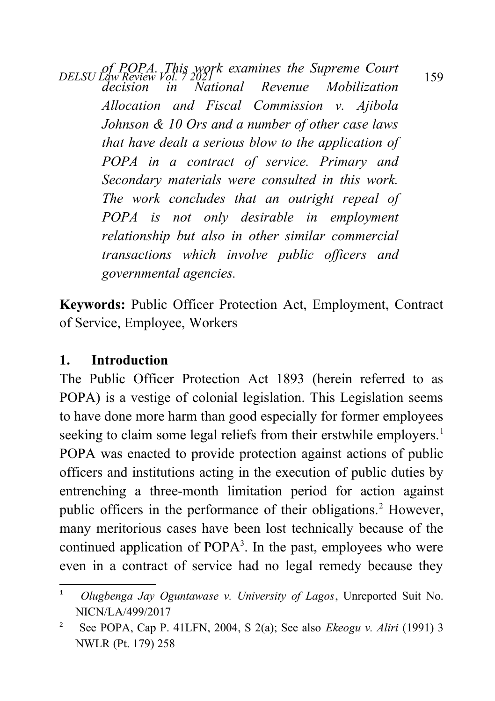*DELSU Law Review Vol. 7 2021* 159<br>*DELSU Law Review Vol. 7 2021* 159 *decision in National Revenue Mobilization Allocation and Fiscal Commission v. Ajibola Johnson & 10 Ors and a number of other case laws that have dealt a serious blow to the application of POPA in a contract of service. Primary and Secondary materials were consulted in this work. The work concludes that an outright repeal of POPA is not only desirable in employment relationship but also in other similar commercial transactions which involve public officers and governmental agencies.*

**Keywords:** Public Officer Protection Act, Employment, Contract of Service, Employee, Workers

### **1. Introduction**

The Public Officer Protection Act 1893 (herein referred to as POPA) is a vestige of colonial legislation. This Legislation seems to have done more harm than good especially for former employees seeking to claim some legal reliefs from their erstwhile employers.<sup>[1](#page-1-0)</sup> POPA was enacted to provide protection against actions of public officers and institutions acting in the execution of public duties by entrenching a three-month limitation period for action against public officers in the performance of their obligations.<sup>[2](#page-1-1)</sup> However, many meritorious cases have been lost technically because of the continued application of POPA<sup>3</sup>. In the past, employees who were even in a contract of service had no legal remedy because they

<span id="page-1-0"></span><sup>1</sup>  *Olugbenga Jay Oguntawase v. University of Lagos*, Unreported Suit No. NICN/LA/499/2017

<span id="page-1-1"></span><sup>2</sup> See POPA, Cap P. 41LFN, 2004, S 2(a); See also *Ekeogu v. Aliri* (1991) 3 NWLR (Pt. 179) 258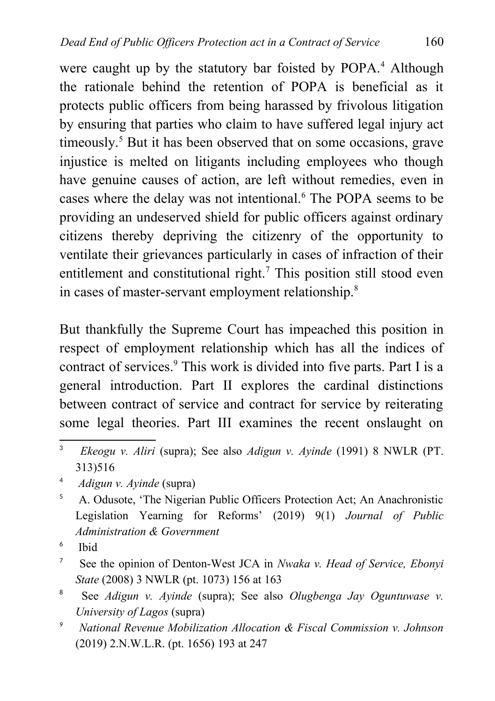were caught up by the statutory bar foisted by POPA.<sup>[4](#page-2-0)</sup> Although the rationale behind the retention of POPA is beneficial as it protects public officers from being harassed by frivolous litigation by ensuring that parties who claim to have suffered legal injury act timeously.<sup>[5](#page-2-1)</sup> But it has been observed that on some occasions, grave injustice is melted on litigants including employees who though have genuine causes of action, are left without remedies, even in cases where the delay was not intentional.<sup>[6](#page-2-2)</sup> The POPA seems to be providing an undeserved shield for public officers against ordinary citizens thereby depriving the citizenry of the opportunity to ventilate their grievances particularly in cases of infraction of their entitlement and constitutional right.<sup>[7](#page-2-3)</sup> This position still stood even in cases of master-servant employment relationship.<sup>[8](#page-2-4)</sup>

But thankfully the Supreme Court has impeached this position in respect of employment relationship which has all the indices of contract of services.<sup>[9](#page-2-5)</sup> This work is divided into five parts. Part I is a general introduction. Part II explores the cardinal distinctions between contract of service and contract for service by reiterating some legal theories. Part III examines the recent onslaught on

- <span id="page-2-2"></span>6 Ibid
- <span id="page-2-3"></span>7 See the opinion of Denton-West JCA in *Nwaka v. Head of Service, Ebonyi State* (2008) 3 NWLR (pt. 1073) 156 at 163
- <span id="page-2-4"></span>8 See *Adigun v. Ayinde* (supra); See also *Olugbenga Jay Oguntuwase v. University of Lagos* (supra)
- <span id="page-2-5"></span><sup>9</sup> *National Revenue Mobilization Allocation & Fiscal Commission v. Johnson* (2019) 2.N.W.L.R. (pt. 1656) 193 at 247

<sup>3</sup> *Ekeogu v. Aliri* (supra); See also *Adigun v. Ayinde* (1991) 8 NWLR (PT. 313)516

<span id="page-2-0"></span><sup>4</sup> *Adigun v. Ayinde* (supra)

<span id="page-2-1"></span><sup>5</sup> A. Odusote, 'The Nigerian Public Officers Protection Act; An Anachronistic Legislation Yearning for Reforms' (2019) 9(1) *Journal of Public Administration & Government*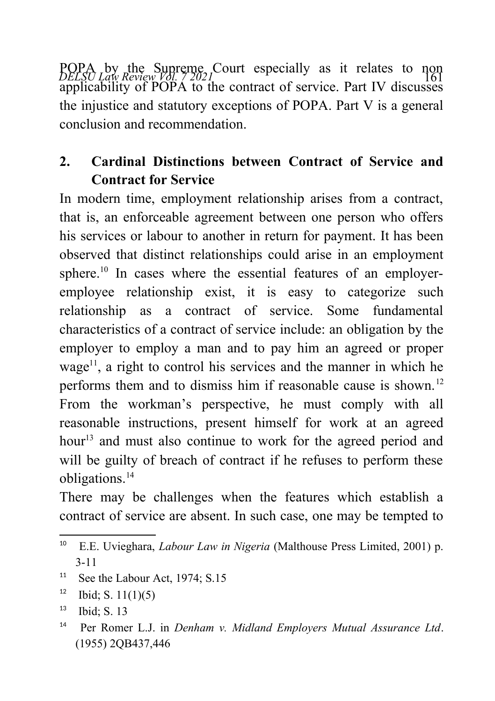POPA by the Supreme Court especially as it relates to non<br>*DELSU Law Review Vol. 7 2021* applicability of POPA to the contract of service. Part IV discusses the injustice and statutory exceptions of POPA. Part V is a general conclusion and recommendation.

# **2. Cardinal Distinctions between Contract of Service and Contract for Service**

In modern time, employment relationship arises from a contract, that is, an enforceable agreement between one person who offers his services or labour to another in return for payment. It has been observed that distinct relationships could arise in an employment sphere.<sup>[10](#page-3-0)</sup> In cases where the essential features of an employeremployee relationship exist, it is easy to categorize such relationship as a contract of service. Some fundamental characteristics of a contract of service include: an obligation by the employer to employ a man and to pay him an agreed or proper wage<sup>[11](#page-3-1)</sup>, a right to control his services and the manner in which he performs them and to dismiss him if reasonable cause is shown.<sup>[12](#page-3-2)</sup> From the workman's perspective, he must comply with all reasonable instructions, present himself for work at an agreed hour<sup>[13](#page-3-3)</sup> and must also continue to work for the agreed period and will be guilty of breach of contract if he refuses to perform these obligations.[14](#page-3-4)

There may be challenges when the features which establish a contract of service are absent. In such case, one may be tempted to

<span id="page-3-1"></span><sup>11</sup> See the Labour Act,  $1974$ ; S.15

<span id="page-3-0"></span><sup>10</sup> E.E. Uvieghara, *Labour Law in Nigeria* (Malthouse Press Limited, 2001) p. 3-11

<span id="page-3-2"></span> $12$  Ibid; S. 11(1)(5)

<span id="page-3-3"></span> $13$  Ibid: S. 13

<span id="page-3-4"></span><sup>14</sup> Per Romer L.J. in *Denham v. Midland Employers Mutual Assurance Ltd*. (1955) 2QB437,446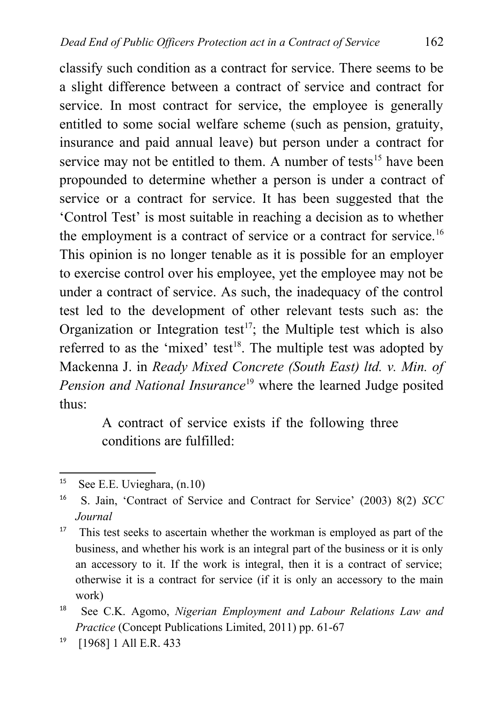classify such condition as a contract for service. There seems to be a slight difference between a contract of service and contract for service. In most contract for service, the employee is generally entitled to some social welfare scheme (such as pension, gratuity, insurance and paid annual leave) but person under a contract for service may not be entitled to them. A number of tests<sup>[15](#page-4-0)</sup> have been propounded to determine whether a person is under a contract of service or a contract for service. It has been suggested that the 'Control Test' is most suitable in reaching a decision as to whether the employment is a contract of service or a contract for service.<sup>[16](#page-4-1)</sup> This opinion is no longer tenable as it is possible for an employer to exercise control over his employee, yet the employee may not be under a contract of service. As such, the inadequacy of the control test led to the development of other relevant tests such as: the Organization or Integration test<sup>[17](#page-4-2)</sup>; the Multiple test which is also referred to as the 'mixed' test<sup>[18](#page-4-3)</sup>. The multiple test was adopted by Mackenna J. in *Ready Mixed Concrete (South East) ltd. v. Min. of Pension and National Insurance*[19](#page-4-4) where the learned Judge posited thus:

> A contract of service exists if the following three conditions are fulfilled:

<span id="page-4-0"></span><sup>15</sup> See E.E. Uvieghara, (n.10)

<span id="page-4-1"></span><sup>16</sup> S. Jain, 'Contract of Service and Contract for Service' (2003) 8(2) *SCC Journal*

<span id="page-4-2"></span><sup>&</sup>lt;sup>17</sup> This test seeks to ascertain whether the workman is employed as part of the business, and whether his work is an integral part of the business or it is only an accessory to it. If the work is integral, then it is a contract of service; otherwise it is a contract for service (if it is only an accessory to the main work)

<span id="page-4-3"></span><sup>18</sup> See C.K. Agomo, *Nigerian Employment and Labour Relations Law and Practice* (Concept Publications Limited, 2011) pp. 61-67

<span id="page-4-4"></span><sup>19</sup> [1968] 1 All E.R. 433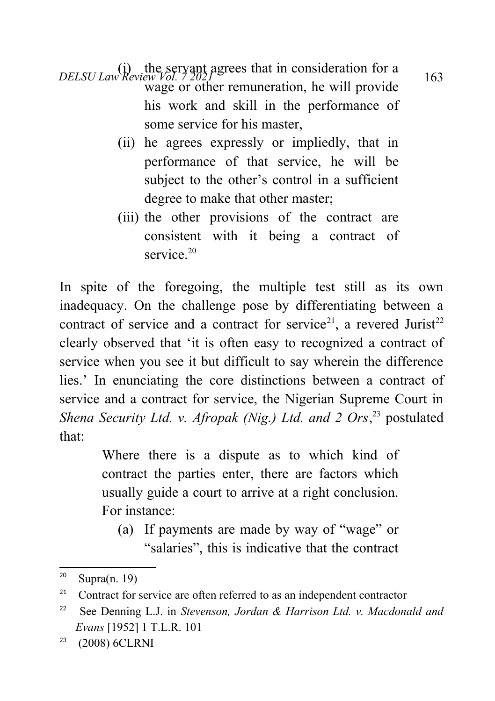*DELSU Law Review Vol. 7 2021*<br>163 wage or other remuneration, he will provide his work and skill in the performance of some service for his master,

- (ii) he agrees expressly or impliedly, that in performance of that service, he will be subject to the other's control in a sufficient degree to make that other master;
- (iii) the other provisions of the contract are consistent with it being a contract of service.<sup>[20](#page-5-0)</sup>

In spite of the foregoing, the multiple test still as its own inadequacy. On the challenge pose by differentiating between a contract of service and a contract for service<sup>[21](#page-5-1)</sup>, a revered Jurist<sup>[22](#page-5-2)</sup> clearly observed that 'it is often easy to recognized a contract of service when you see it but difficult to say wherein the difference lies.' In enunciating the core distinctions between a contract of service and a contract for service, the Nigerian Supreme Court in Shena Security Ltd. v. Afropak (Nig.) Ltd. and 2 Ors,<sup>[23](#page-5-3)</sup> postulated that:

> Where there is a dispute as to which kind of contract the parties enter, there are factors which usually guide a court to arrive at a right conclusion. For instance:

(a) If payments are made by way of "wage" or "salaries", this is indicative that the contract

<span id="page-5-0"></span><sup>&</sup>lt;sup>20</sup> Supra $(n. 19)$ 

<span id="page-5-1"></span><sup>&</sup>lt;sup>21</sup> Contract for service are often referred to as an independent contractor

<span id="page-5-2"></span><sup>22</sup> See Denning L.J. in *Stevenson, Jordan & Harrison Ltd. v. Macdonald and Evans* [1952] 1 T.L.R. 101

<span id="page-5-3"></span><sup>23</sup> (2008) 6CLRNI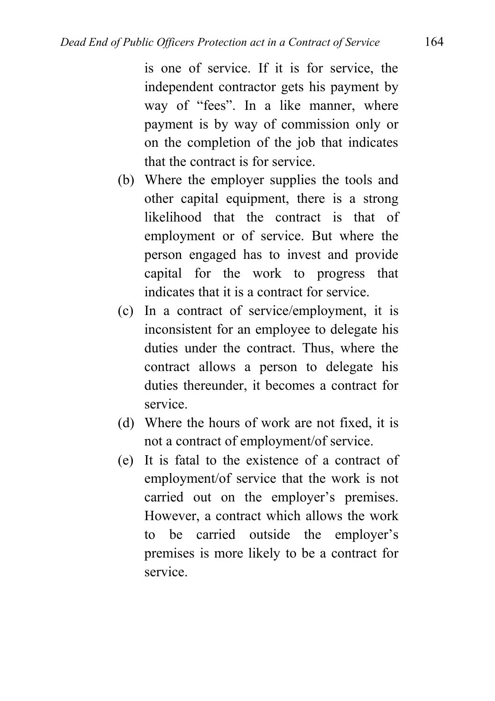is one of service. If it is for service, the independent contractor gets his payment by way of "fees". In a like manner, where payment is by way of commission only or on the completion of the job that indicates that the contract is for service.

- (b) Where the employer supplies the tools and other capital equipment, there is a strong likelihood that the contract is that of employment or of service. But where the person engaged has to invest and provide capital for the work to progress that indicates that it is a contract for service.
- (c) In a contract of service/employment, it is inconsistent for an employee to delegate his duties under the contract. Thus, where the contract allows a person to delegate his duties thereunder, it becomes a contract for service.
- (d) Where the hours of work are not fixed, it is not a contract of employment/of service.
- (e) It is fatal to the existence of a contract of employment/of service that the work is not carried out on the employer's premises. However, a contract which allows the work to be carried outside the employer's premises is more likely to be a contract for service.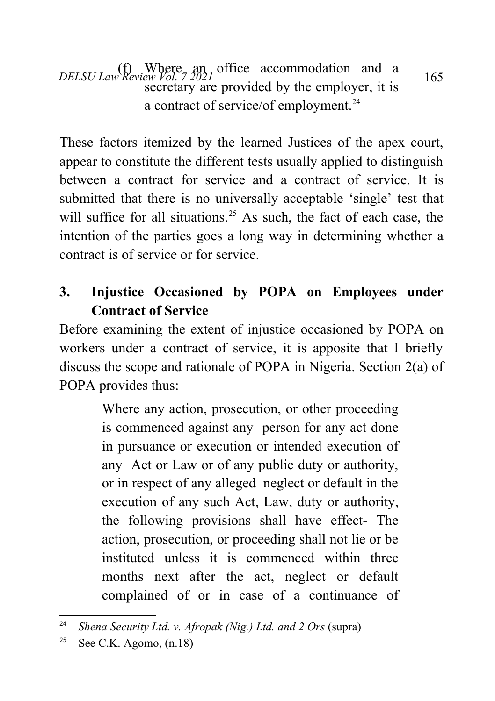*DELSU Law Review Vol.* 7 2021 office accommodation and a 165 secretary are provided by the employer, it is a contract of service/of employment.<sup>[24](#page-7-0)</sup>

These factors itemized by the learned Justices of the apex court, appear to constitute the different tests usually applied to distinguish between a contract for service and a contract of service. It is submitted that there is no universally acceptable 'single' test that will suffice for all situations.<sup>[25](#page-7-1)</sup> As such, the fact of each case, the intention of the parties goes a long way in determining whether a contract is of service or for service.

# **3. Injustice Occasioned by POPA on Employees under Contract of Service**

Before examining the extent of injustice occasioned by POPA on workers under a contract of service, it is apposite that I briefly discuss the scope and rationale of POPA in Nigeria. Section 2(a) of POPA provides thus:

> Where any action, prosecution, or other proceeding is commenced against any person for any act done in pursuance or execution or intended execution of any Act or Law or of any public duty or authority, or in respect of any alleged neglect or default in the execution of any such Act, Law, duty or authority, the following provisions shall have effect- The action, prosecution, or proceeding shall not lie or be instituted unless it is commenced within three months next after the act, neglect or default complained of or in case of a continuance of

<span id="page-7-0"></span><sup>24</sup> *Shena Security Ltd. v. Afropak (Nig.) Ltd. and 2 Ors* (supra)

<span id="page-7-1"></span><sup>&</sup>lt;sup>25</sup> See C.K. Agomo,  $(n.18)$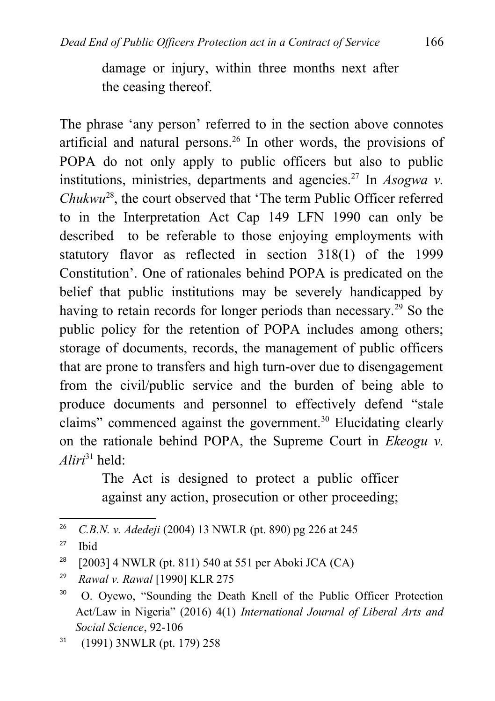damage or injury, within three months next after the ceasing thereof.

The phrase 'any person' referred to in the section above connotes artificial and natural persons.[26](#page-8-0) In other words, the provisions of POPA do not only apply to public officers but also to public institutions, ministries, departments and agencies.<sup>[27](#page-8-1)</sup> In  $Aso gwa$  v. *Chukwu*[28](#page-8-2), the court observed that 'The term Public Officer referred to in the Interpretation Act Cap 149 LFN 1990 can only be described to be referable to those enjoying employments with statutory flavor as reflected in section 318(1) of the 1999 Constitution'. One of rationales behind POPA is predicated on the belief that public institutions may be severely handicapped by having to retain records for longer periods than necessary.<sup>[29](#page-8-3)</sup> So the public policy for the retention of POPA includes among others; storage of documents, records, the management of public officers that are prone to transfers and high turn-over due to disengagement from the civil/public service and the burden of being able to produce documents and personnel to effectively defend "stale claims" commenced against the government.<sup>[30](#page-8-4)</sup> Elucidating clearly on the rationale behind POPA, the Supreme Court in *Ekeogu v. Aliri*[31](#page-8-5) held:

> The Act is designed to protect a public officer against any action, prosecution or other proceeding;

<span id="page-8-0"></span><sup>26</sup> *C.B.N. v. Adedeji* (2004) 13 NWLR (pt. 890) pg 226 at 245

<span id="page-8-1"></span><sup>27</sup> Ibid

<span id="page-8-2"></span><sup>&</sup>lt;sup>28</sup> [2003] 4 NWLR (pt. 811) 540 at 551 per Aboki JCA (CA)

<span id="page-8-3"></span><sup>29</sup> *Rawal v. Rawal* [1990] KLR 275

<span id="page-8-4"></span><sup>30</sup> O. Oyewo, "Sounding the Death Knell of the Public Officer Protection Act/Law in Nigeria" (2016) 4(1) *International Journal of Liberal Arts and Social Science*, 92-106

<span id="page-8-5"></span> $31$  (1991) 3NWLR (pt. 179) 258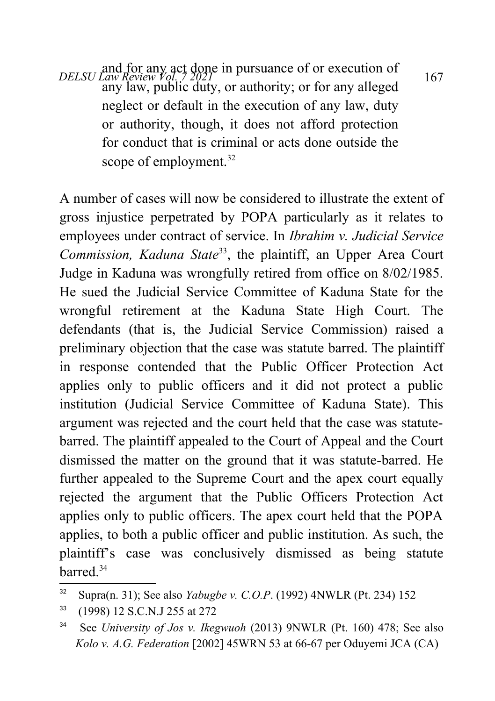*DELSU Law Review Vol. 7 2021*<br> *DELSU Law Review Vol. 7 2021* any law, public duty, or authority; or for any alleged neglect or default in the execution of any law, duty or authority, though, it does not afford protection for conduct that is criminal or acts done outside the scope of employment.<sup>[32](#page-9-0)</sup>

A number of cases will now be considered to illustrate the extent of gross injustice perpetrated by POPA particularly as it relates to employees under contract of service. In *Ibrahim v. Judicial Service Commission, Kaduna State*[33](#page-9-1), the plaintiff, an Upper Area Court Judge in Kaduna was wrongfully retired from office on 8/02/1985. He sued the Judicial Service Committee of Kaduna State for the wrongful retirement at the Kaduna State High Court. The defendants (that is, the Judicial Service Commission) raised a preliminary objection that the case was statute barred. The plaintiff in response contended that the Public Officer Protection Act applies only to public officers and it did not protect a public institution (Judicial Service Committee of Kaduna State). This argument was rejected and the court held that the case was statutebarred. The plaintiff appealed to the Court of Appeal and the Court dismissed the matter on the ground that it was statute-barred. He further appealed to the Supreme Court and the apex court equally rejected the argument that the Public Officers Protection Act applies only to public officers. The apex court held that the POPA applies, to both a public officer and public institution. As such, the plaintiff's case was conclusively dismissed as being statute barred<sup>[34](#page-9-2)</sup>

<span id="page-9-0"></span><sup>32</sup> Supra(n. 31); See also *Yabugbe v. C.O.P*. (1992) 4NWLR (Pt. 234) 152

<span id="page-9-1"></span><sup>33</sup> (1998) 12 S.C.N.J 255 at 272

<span id="page-9-2"></span><sup>34</sup> See *University of Jos v. Ikegwuoh* (2013) 9NWLR (Pt. 160) 478; See also *Kolo v. A.G. Federation* [2002] 45WRN 53 at 66-67 per Oduyemi JCA (CA)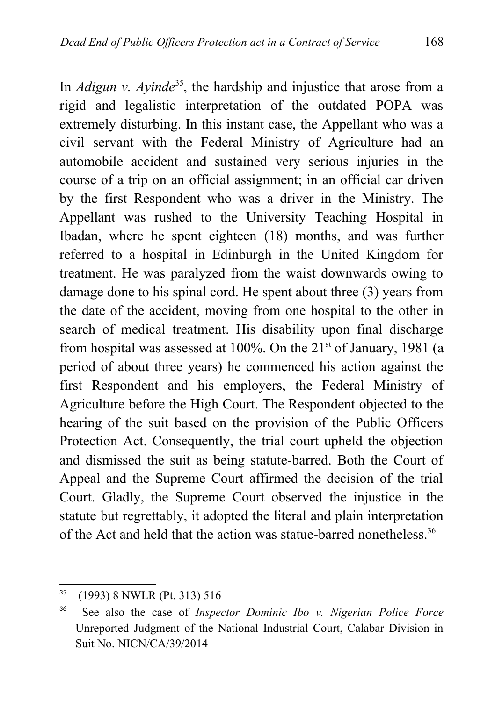In *Adigun v. Ayinde*<sup>[35](#page-10-0)</sup>, the hardship and injustice that arose from a rigid and legalistic interpretation of the outdated POPA was extremely disturbing. In this instant case, the Appellant who was a civil servant with the Federal Ministry of Agriculture had an automobile accident and sustained very serious injuries in the course of a trip on an official assignment; in an official car driven by the first Respondent who was a driver in the Ministry. The Appellant was rushed to the University Teaching Hospital in Ibadan, where he spent eighteen (18) months, and was further referred to a hospital in Edinburgh in the United Kingdom for treatment. He was paralyzed from the waist downwards owing to damage done to his spinal cord. He spent about three (3) years from the date of the accident, moving from one hospital to the other in search of medical treatment. His disability upon final discharge from hospital was assessed at  $100\%$ . On the  $21<sup>st</sup>$  of January, 1981 (a period of about three years) he commenced his action against the first Respondent and his employers, the Federal Ministry of Agriculture before the High Court. The Respondent objected to the hearing of the suit based on the provision of the Public Officers Protection Act. Consequently, the trial court upheld the objection and dismissed the suit as being statute-barred. Both the Court of Appeal and the Supreme Court affirmed the decision of the trial Court. Gladly, the Supreme Court observed the injustice in the statute but regrettably, it adopted the literal and plain interpretation of the Act and held that the action was statue-barred nonetheless.<sup>[36](#page-10-1)</sup>

<span id="page-10-0"></span><sup>35</sup> (1993) 8 NWLR (Pt. 313) 516

<span id="page-10-1"></span><sup>36</sup> See also the case of *Inspector Dominic Ibo v. Nigerian Police Force* Unreported Judgment of the National Industrial Court, Calabar Division in Suit No. NICN/CA/39/2014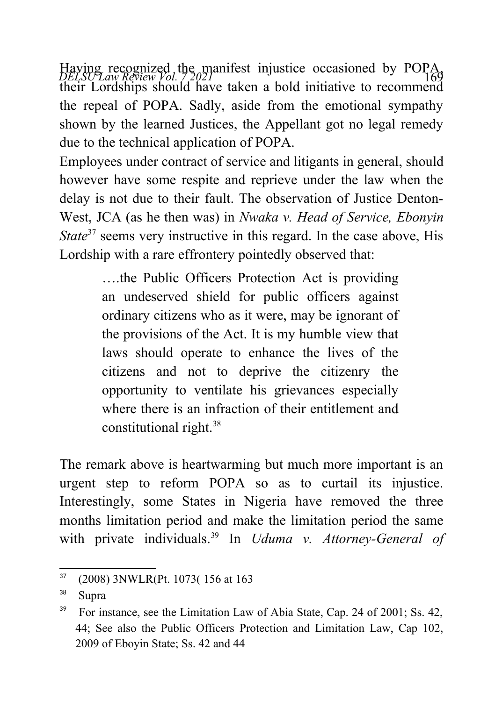Having recognized the manifest injustice occasioned by POPA,<br>*DELSU Law Review Vol. 7.2021* their Lordships should have taken a bold initiative to recommend the repeal of POPA. Sadly, aside from the emotional sympathy shown by the learned Justices, the Appellant got no legal remedy due to the technical application of POPA.

Employees under contract of service and litigants in general, should however have some respite and reprieve under the law when the delay is not due to their fault. The observation of Justice Denton-West, JCA (as he then was) in *Nwaka v. Head of Service, Ebonyin State*<sup>[37](#page-11-0)</sup> seems very instructive in this regard. In the case above, His Lordship with a rare effrontery pointedly observed that:

> ….the Public Officers Protection Act is providing an undeserved shield for public officers against ordinary citizens who as it were, may be ignorant of the provisions of the Act. It is my humble view that laws should operate to enhance the lives of the citizens and not to deprive the citizenry the opportunity to ventilate his grievances especially where there is an infraction of their entitlement and constitutional right.[38](#page-11-1)

The remark above is heartwarming but much more important is an urgent step to reform POPA so as to curtail its injustice. Interestingly, some States in Nigeria have removed the three months limitation period and make the limitation period the same with private individuals.[39](#page-11-2) In *Uduma v. Attorney-General of*

<span id="page-11-0"></span><sup>37</sup> (2008) 3NWLR(Pt. 1073( 156 at 163

<span id="page-11-1"></span><sup>38</sup> Supra

<span id="page-11-2"></span><sup>&</sup>lt;sup>39</sup> For instance, see the Limitation Law of Abia State, Cap. 24 of 2001; Ss. 42, 44; See also the Public Officers Protection and Limitation Law, Cap 102, 2009 of Eboyin State; Ss. 42 and 44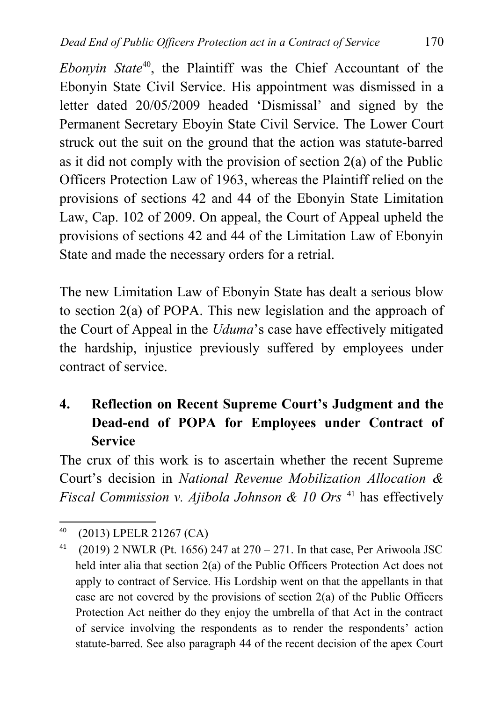*Ebonyin State*[40](#page-12-0), the Plaintiff was the Chief Accountant of the Ebonyin State Civil Service. His appointment was dismissed in a letter dated 20/05/2009 headed 'Dismissal' and signed by the Permanent Secretary Eboyin State Civil Service. The Lower Court struck out the suit on the ground that the action was statute-barred as it did not comply with the provision of section 2(a) of the Public Officers Protection Law of 1963, whereas the Plaintiff relied on the provisions of sections 42 and 44 of the Ebonyin State Limitation Law, Cap. 102 of 2009. On appeal, the Court of Appeal upheld the provisions of sections 42 and 44 of the Limitation Law of Ebonyin State and made the necessary orders for a retrial.

The new Limitation Law of Ebonyin State has dealt a serious blow to section 2(a) of POPA. This new legislation and the approach of the Court of Appeal in the *Uduma*'s case have effectively mitigated the hardship, injustice previously suffered by employees under contract of service.

# **4. Reflection on Recent Supreme Court's Judgment and the Dead-end of POPA for Employees under Contract of Service**

The crux of this work is to ascertain whether the recent Supreme Court's decision in *National Revenue Mobilization Allocation & Fiscal Commission v. Ajibola Johnson & 10 Ors* [41](#page-12-1) has effectively

<span id="page-12-0"></span><sup>40</sup> (2013) LPELR 21267 (CA)

<span id="page-12-1"></span><sup>&</sup>lt;sup>41</sup> (2019) 2 NWLR (Pt. 1656) 247 at  $270 - 271$ . In that case, Per Ariwoola JSC held inter alia that section 2(a) of the Public Officers Protection Act does not apply to contract of Service. His Lordship went on that the appellants in that case are not covered by the provisions of section 2(a) of the Public Officers Protection Act neither do they enjoy the umbrella of that Act in the contract of service involving the respondents as to render the respondents' action statute-barred. See also paragraph 44 of the recent decision of the apex Court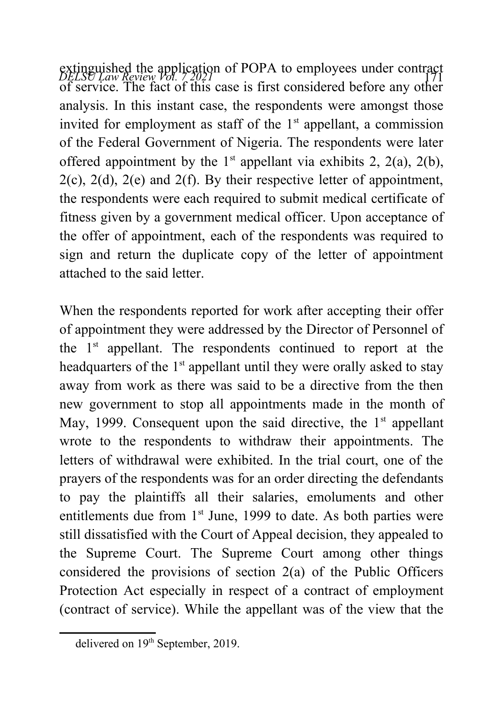extinguished the application of POPA to employees under contract<br>*DELSU Law Review Vol. 7* 2021 of service. The fact of this case is first considered before any other analysis. In this instant case, the respondents were amongst those invited for employment as staff of the  $1<sup>st</sup>$  appellant, a commission of the Federal Government of Nigeria. The respondents were later offered appointment by the  $1<sup>st</sup>$  appellant via exhibits 2, 2(a), 2(b),  $2(c)$ ,  $2(d)$ ,  $2(e)$  and  $2(f)$ . By their respective letter of appointment, the respondents were each required to submit medical certificate of fitness given by a government medical officer. Upon acceptance of the offer of appointment, each of the respondents was required to sign and return the duplicate copy of the letter of appointment attached to the said letter.

When the respondents reported for work after accepting their offer of appointment they were addressed by the Director of Personnel of the  $1<sup>st</sup>$  appellant. The respondents continued to report at the headquarters of the  $1<sup>st</sup>$  appellant until they were orally asked to stay away from work as there was said to be a directive from the then new government to stop all appointments made in the month of May, 1999. Consequent upon the said directive, the  $1<sup>st</sup>$  appellant wrote to the respondents to withdraw their appointments. The letters of withdrawal were exhibited. In the trial court, one of the prayers of the respondents was for an order directing the defendants to pay the plaintiffs all their salaries, emoluments and other entitlements due from  $1<sup>st</sup>$  June, 1999 to date. As both parties were still dissatisfied with the Court of Appeal decision, they appealed to the Supreme Court. The Supreme Court among other things considered the provisions of section 2(a) of the Public Officers Protection Act especially in respect of a contract of employment (contract of service). While the appellant was of the view that the

delivered on 19<sup>th</sup> September, 2019.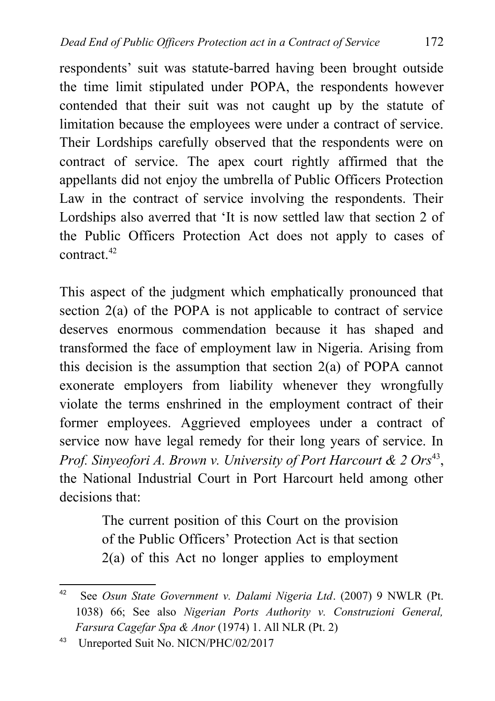respondents' suit was statute-barred having been brought outside the time limit stipulated under POPA, the respondents however contended that their suit was not caught up by the statute of limitation because the employees were under a contract of service. Their Lordships carefully observed that the respondents were on contract of service. The apex court rightly affirmed that the appellants did not enjoy the umbrella of Public Officers Protection Law in the contract of service involving the respondents. Their Lordships also averred that 'It is now settled law that section 2 of the Public Officers Protection Act does not apply to cases of contract.[42](#page-14-0)

This aspect of the judgment which emphatically pronounced that section 2(a) of the POPA is not applicable to contract of service deserves enormous commendation because it has shaped and transformed the face of employment law in Nigeria. Arising from this decision is the assumption that section 2(a) of POPA cannot exonerate employers from liability whenever they wrongfully violate the terms enshrined in the employment contract of their former employees. Aggrieved employees under a contract of service now have legal remedy for their long years of service. In Prof. Sinyeofori A. Brown v. University of Port Harcourt & 2 Ors<sup>[43](#page-14-1)</sup>, the National Industrial Court in Port Harcourt held among other decisions that:

> The current position of this Court on the provision of the Public Officers' Protection Act is that section 2(a) of this Act no longer applies to employment

<span id="page-14-1"></span>43 Unreported Suit No. NICN/PHC/02/2017

<span id="page-14-0"></span><sup>42</sup> See *Osun State Government v. Dalami Nigeria Ltd*. (2007) 9 NWLR (Pt. 1038) 66; See also *Nigerian Ports Authority v. Construzioni General, Farsura Cagefar Spa & Anor* (1974) 1. All NLR (Pt. 2)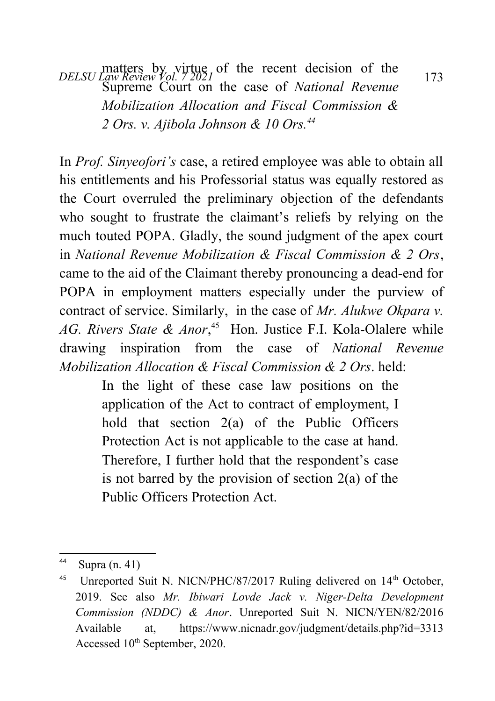*DELSU Law Review Vol. 7 2021* 1 the recent decision of the 173 Supreme Court on the case of *National Revenue Mobilization Allocation and Fiscal Commission & 2 Ors. v. Ajibola Johnson & 10 Ors.[44](#page-15-0)*

In *Prof. Sinyeofori's* case, a retired employee was able to obtain all his entitlements and his Professorial status was equally restored as the Court overruled the preliminary objection of the defendants who sought to frustrate the claimant's reliefs by relying on the much touted POPA. Gladly, the sound judgment of the apex court in *National Revenue Mobilization & Fiscal Commission & 2 Ors*, came to the aid of the Claimant thereby pronouncing a dead-end for POPA in employment matters especially under the purview of contract of service. Similarly, in the case of *Mr. Alukwe Okpara v.* AG. Rivers State & Anor,<sup>[45](#page-15-1)</sup> Hon. Justice F.I. Kola-Olalere while drawing inspiration from the case of *National Revenue Mobilization Allocation & Fiscal Commission & 2 Ors*. held:

> In the light of these case law positions on the application of the Act to contract of employment, I hold that section 2(a) of the Public Officers Protection Act is not applicable to the case at hand. Therefore, I further hold that the respondent's case is not barred by the provision of section  $2(a)$  of the Public Officers Protection Act.

<span id="page-15-0"></span><sup>44</sup> Supra  $(n. 41)$ 

<span id="page-15-1"></span><sup>&</sup>lt;sup>45</sup> Unreported Suit N. NICN/PHC/87/2017 Ruling delivered on 14<sup>th</sup> October, 2019. See also *Mr. Ibiwari Lovde Jack v. Niger-Delta Development Commission (NDDC) & Anor*. Unreported Suit N. NICN/YEN/82/2016 Available at,<https://www.nicnadr.gov/judgment/details.php?id=3313> Accessed 10<sup>th</sup> September, 2020.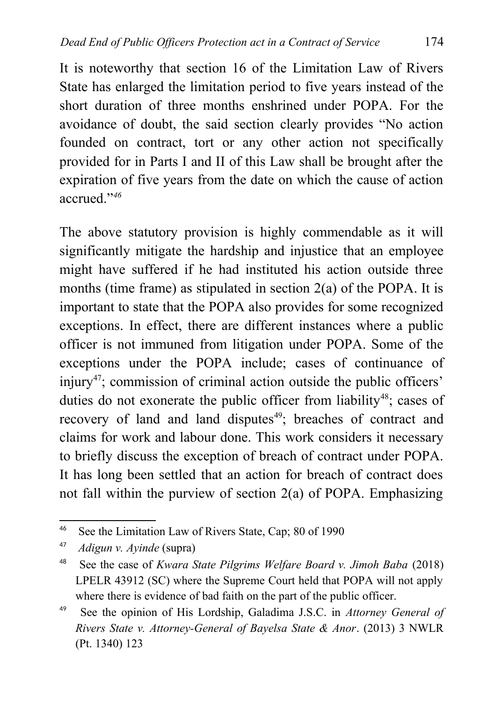It is noteworthy that section 16 of the Limitation Law of Rivers State has enlarged the limitation period to five years instead of the short duration of three months enshrined under POPA. For the avoidance of doubt, the said section clearly provides "No action founded on contract, tort or any other action not specifically provided for in Parts I and II of this Law shall be brought after the expiration of five years from the date on which the cause of action accrued."*[46](#page-16-0)*

The above statutory provision is highly commendable as it will significantly mitigate the hardship and injustice that an employee might have suffered if he had instituted his action outside three months (time frame) as stipulated in section  $2(a)$  of the POPA. It is important to state that the POPA also provides for some recognized exceptions. In effect, there are different instances where a public officer is not immuned from litigation under POPA. Some of the exceptions under the POPA include; cases of continuance of injury<sup>[47](#page-16-1)</sup>: commission of criminal action outside the public officers' duties do not exonerate the public officer from liability<sup>[48](#page-16-2)</sup>; cases of recovery of land and land disputes<sup>[49](#page-16-3)</sup>; breaches of contract and claims for work and labour done. This work considers it necessary to briefly discuss the exception of breach of contract under POPA. It has long been settled that an action for breach of contract does not fall within the purview of section 2(a) of POPA. Emphasizing

<span id="page-16-0"></span><sup>46</sup> See the Limitation Law of Rivers State, Cap; 80 of 1990

<span id="page-16-1"></span><sup>47</sup> *Adigun v. Ayinde* (supra)

<span id="page-16-2"></span><sup>48</sup> See the case of *Kwara State Pilgrims Welfare Board v. Jimoh Baba* (2018) LPELR 43912 (SC) where the Supreme Court held that POPA will not apply where there is evidence of bad faith on the part of the public officer.

<span id="page-16-3"></span><sup>49</sup> See the opinion of His Lordship, Galadima J.S.C. in *Attorney General of Rivers State v. Attorney-General of Bayelsa State & Anor*. (2013) 3 NWLR (Pt. 1340) 123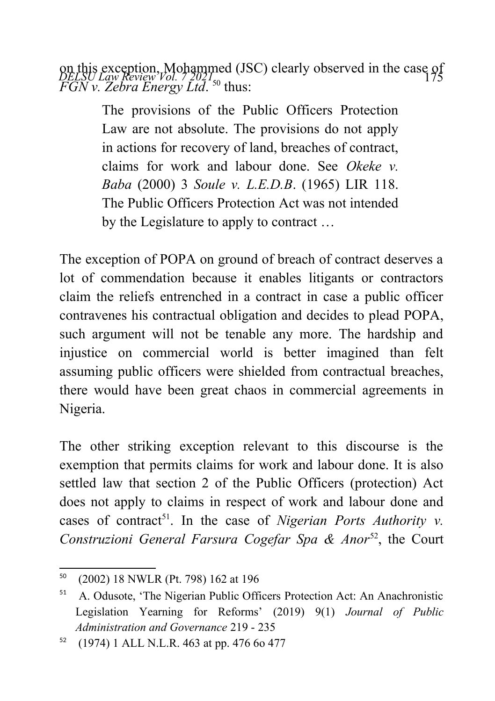on this exception, Mohammed (JSC) clearly observed in the case of<br>*DELSU Law Review Vol.* 72021<sub>50</sub> *FGN v. Zebra Energy Ltd.* <sup>[50](#page-17-0)</sup> thus:

> The provisions of the Public Officers Protection Law are not absolute. The provisions do not apply in actions for recovery of land, breaches of contract, claims for work and labour done. See *Okeke v. Baba* (2000) 3 *Soule v. L.E.D.B*. (1965) LIR 118. The Public Officers Protection Act was not intended by the Legislature to apply to contract …

The exception of POPA on ground of breach of contract deserves a lot of commendation because it enables litigants or contractors claim the reliefs entrenched in a contract in case a public officer contravenes his contractual obligation and decides to plead POPA, such argument will not be tenable any more. The hardship and injustice on commercial world is better imagined than felt assuming public officers were shielded from contractual breaches, there would have been great chaos in commercial agreements in Nigeria.

The other striking exception relevant to this discourse is the exemption that permits claims for work and labour done. It is also settled law that section 2 of the Public Officers (protection) Act does not apply to claims in respect of work and labour done and cases of contract<sup>[51](#page-17-1)</sup>. In the case of *Nigerian Ports Authority v. Construzioni General Farsura Cogefar Spa & Anor*<sup>[52](#page-17-2)</sup>, the Court

<span id="page-17-0"></span><sup>50</sup> (2002) 18 NWLR (Pt. 798) 162 at 196

<span id="page-17-1"></span><sup>51</sup> A. Odusote, 'The Nigerian Public Officers Protection Act: An Anachronistic Legislation Yearning for Reforms' (2019) 9(1) *Journal of Public Administration and Governance* 219 - 235

<span id="page-17-2"></span><sup>52</sup> (1974) 1 ALL N.L.R. 463 at pp. 476 6o 477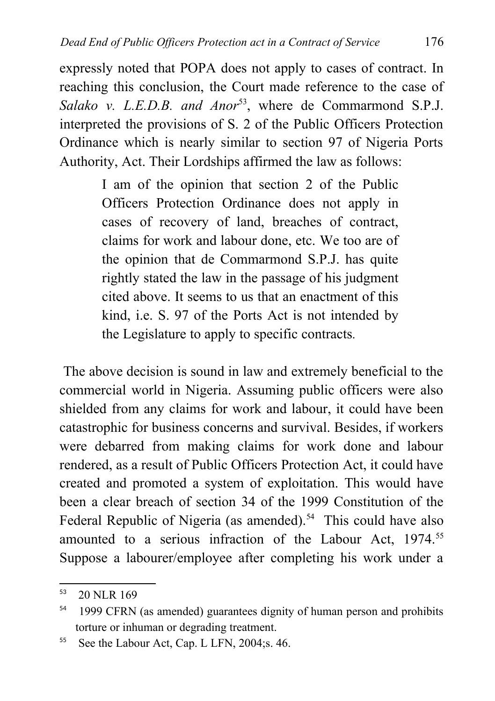expressly noted that POPA does not apply to cases of contract. In reaching this conclusion, the Court made reference to the case of Salako v. L.E.D.B. and Anor<sup>[53](#page-18-0)</sup>, where de Commarmond S.P.J. interpreted the provisions of S. 2 of the Public Officers Protection Ordinance which is nearly similar to section 97 of Nigeria Ports Authority, Act. Their Lordships affirmed the law as follows:

> I am of the opinion that section 2 of the Public Officers Protection Ordinance does not apply in cases of recovery of land, breaches of contract, claims for work and labour done, etc. We too are of the opinion that de Commarmond S.P.J. has quite rightly stated the law in the passage of his judgment cited above. It seems to us that an enactment of this kind, i.e. S. 97 of the Ports Act is not intended by the Legislature to apply to specific contracts*.*

 The above decision is sound in law and extremely beneficial to the commercial world in Nigeria. Assuming public officers were also shielded from any claims for work and labour, it could have been catastrophic for business concerns and survival. Besides, if workers were debarred from making claims for work done and labour rendered, as a result of Public Officers Protection Act, it could have created and promoted a system of exploitation. This would have been a clear breach of section 34 of the 1999 Constitution of the Federal Republic of Nigeria (as amended).<sup>[54](#page-18-1)</sup> This could have also amounted to a serious infraction of the Labour Act, 1974.<sup>[55](#page-18-2)</sup> Suppose a labourer/employee after completing his work under a

<span id="page-18-0"></span><sup>53</sup> 20 NLR 169

<span id="page-18-1"></span><sup>&</sup>lt;sup>54</sup> 1999 CFRN (as amended) guarantees dignity of human person and prohibits torture or inhuman or degrading treatment.

<span id="page-18-2"></span><sup>&</sup>lt;sup>55</sup> See the Labour Act, Cap. L LFN, 2004; s. 46.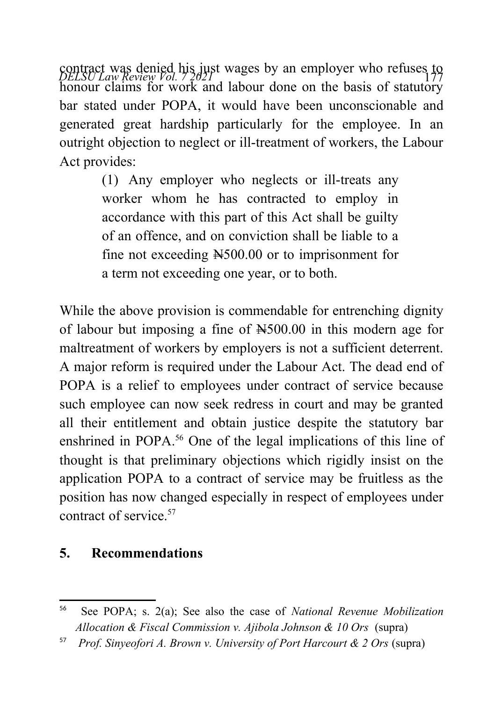contract was denied his just wages by an employer who refuses to *pELSU Law Review Vol.* 77 honour claims for work and labour done on the basis of statutory bar stated under POPA, it would have been unconscionable and generated great hardship particularly for the employee. In an outright objection to neglect or ill-treatment of workers, the Labour Act provides:

> (1) Any employer who neglects or ill-treats any worker whom he has contracted to employ in accordance with this part of this Act shall be guilty of an offence, and on conviction shall be liable to a fine not exceeding N500.00 or to imprisonment for a term not exceeding one year, or to both.

While the above provision is commendable for entrenching dignity of labour but imposing a fine of N500.00 in this modern age for maltreatment of workers by employers is not a sufficient deterrent. A major reform is required under the Labour Act. The dead end of POPA is a relief to employees under contract of service because such employee can now seek redress in court and may be granted all their entitlement and obtain justice despite the statutory bar enshrined in POPA.<sup>[56](#page-19-0)</sup> One of the legal implications of this line of thought is that preliminary objections which rigidly insist on the application POPA to a contract of service may be fruitless as the position has now changed especially in respect of employees under contract of service.<sup>[57](#page-19-1)</sup>

### **5. Recommendations**

<span id="page-19-0"></span><sup>56</sup> See POPA; s. 2(a); See also the case of *National Revenue Mobilization Allocation & Fiscal Commission v. Ajibola Johnson & 10 Ors* (supra)

<span id="page-19-1"></span><sup>57</sup> *Prof. Sinyeofori A. Brown v. University of Port Harcourt & 2 Ors* (supra)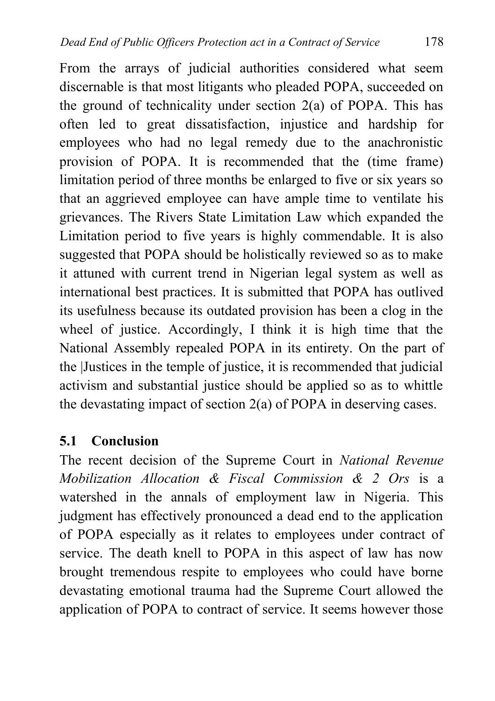From the arrays of judicial authorities considered what seem discernable is that most litigants who pleaded POPA, succeeded on the ground of technicality under section  $2(a)$  of POPA. This has often led to great dissatisfaction, injustice and hardship for employees who had no legal remedy due to the anachronistic provision of POPA. It is recommended that the (time frame) limitation period of three months be enlarged to five or six years so that an aggrieved employee can have ample time to ventilate his grievances. The Rivers State Limitation Law which expanded the Limitation period to five years is highly commendable. It is also suggested that POPA should be holistically reviewed so as to make it attuned with current trend in Nigerian legal system as well as international best practices. It is submitted that POPA has outlived its usefulness because its outdated provision has been a clog in the wheel of justice. Accordingly, I think it is high time that the National Assembly repealed POPA in its entirety. On the part of the |Justices in the temple of justice, it is recommended that judicial activism and substantial justice should be applied so as to whittle the devastating impact of section 2(a) of POPA in deserving cases.

### **5.1 Conclusion**

The recent decision of the Supreme Court in *National Revenue Mobilization Allocation & Fiscal Commission & 2 Ors* is a watershed in the annals of employment law in Nigeria. This judgment has effectively pronounced a dead end to the application of POPA especially as it relates to employees under contract of service. The death knell to POPA in this aspect of law has now brought tremendous respite to employees who could have borne devastating emotional trauma had the Supreme Court allowed the application of POPA to contract of service. It seems however those